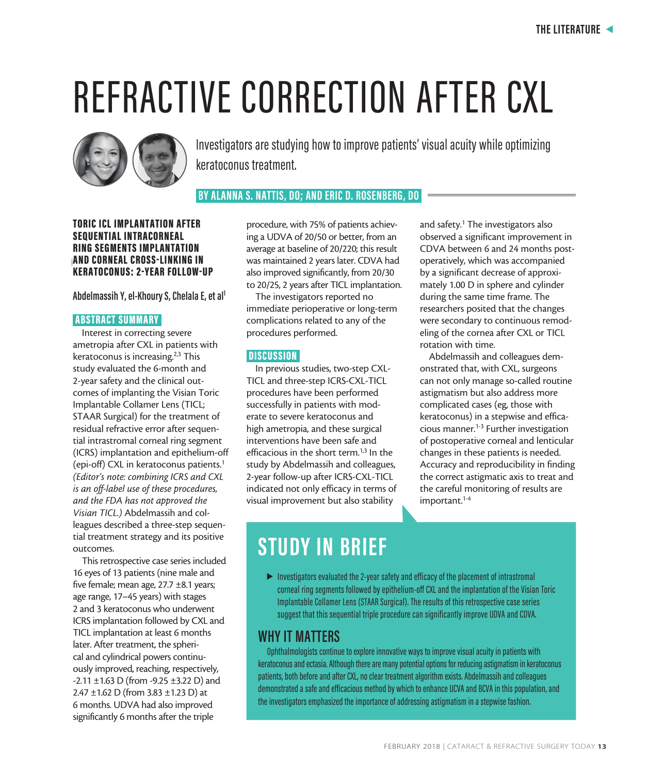# REFRACTIVE CORRECTION AFTER CXL



Investigators are studying how to improve patients' visual acuity while optimizing keratoconus treatment.

 **BY ALANNA S. NATTIS, DO; AND ERIC D. ROSENBERG, DO** 

RING SEGMENTS IMPLANTATION **AUTHOR** KERATOCONUS: 2-YEAR FOLLOW-UP TORIC ICL IMPLANTATION AFTER SEQUENTIAL INTRACORNEAL AND CORNEAL CROSS-LINKING IN

**Abdelmassih Y, el-Khoury S, Chelala E, et al1**

#### ABSTRACT SUMMARY

Interest in correcting severe ametropia after CXL in patients with keratoconus is increasing.<sup>2,3</sup> This study evaluated the 6-month and 2-year safety and the clinical outcomes of implanting the Visian Toric Implantable Collamer Lens (TICL; STAAR Surgical) for the treatment of residual refractive error after sequential intrastromal corneal ring segment (ICRS) implantation and epithelium-off (epi-off) CXL in keratoconus patients.<sup>1</sup> *(Editor's note: combining ICRS and CXL is an off-label use of these procedures, and the FDA has not approved the Visian TICL.)* Abdelmassih and colleagues described a three-step sequential treatment strategy and its positive outcomes.

This retrospective case series included 16 eyes of 13 patients (nine male and five female; mean age, 27.7 ±8.1 years; age range, 17–45 years) with stages 2 and 3 keratoconus who underwent ICRS implantation followed by CXL and TICL implantation at least 6 months later. After treatment, the spherical and cylindrical powers continuously improved, reaching, respectively, -2.11 ±1.63 D (from -9.25 ±3.22 D) and 2.47 ±1.62 D (from 3.83 ±1.23 D) at 6 months. UDVA had also improved significantly 6 months after the triple

procedure, with 75% of patients achieving a UDVA of 20/50 or better, from an average at baseline of 20/220; this result was maintained 2 years later. CDVA had also improved significantly, from 20/30 to 20/25, 2 years after TICL implantation.

The investigators reported no immediate perioperative or long-term complications related to any of the procedures performed.

#### **DISCUSSION**

In previous studies, two-step CXL-TICL and three-step ICRS-CXL-TICL procedures have been performed successfully in patients with moderate to severe keratoconus and high ametropia, and these surgical interventions have been safe and efficacious in the short term. $1,3$  In the study by Abdelmassih and colleagues, 2-year follow-up after ICRS-CXL-TICL indicated not only efficacy in terms of visual improvement but also stability

and safety.<sup>1</sup> The investigators also observed a significant improvement in CDVA between 6 and 24 months postoperatively, which was accompanied by a significant decrease of approximately 1.00 D in sphere and cylinder during the same time frame. The researchers posited that the changes were secondary to continuous remodeling of the cornea after CXL or TICL rotation with time.

Abdelmassih and colleagues demonstrated that, with CXL, surgeons can not only manage so-called routine astigmatism but also address more complicated cases (eg, those with keratoconus) in a stepwise and efficacious manner.1-3 Further investigation of postoperative corneal and lenticular changes in these patients is needed. Accuracy and reproducibility in finding the correct astigmatic axis to treat and the careful monitoring of results are important.<sup>1-4</sup>

## **STUDY IN BRIEF**

 $\blacktriangleright$  Investigators evaluated the 2-year safety and efficacy of the placement of intrastromal corneal ring segments followed by epithelium-off CXL and the implantation of the Visian Toric Implantable Collamer Lens (STAAR Surgical). The results of this retrospective case series suggest that this sequential triple procedure can significantly improve UDVA and CDVA.

## **WHY IT MATTERS**

Ophthalmologists continue to explore innovative ways to improve visual acuity in patients with keratoconus and ectasia. Although there are many potential options for reducing astigmatism in keratoconus patients, both before and after CXL, no clear treatment algorithm exists. Abdelmassih and colleagues demonstrated a safe and efficacious method by which to enhance UCVA and BCVA in this population, and the investigators emphasized the importance of addressing astigmatism in a stepwise fashion.